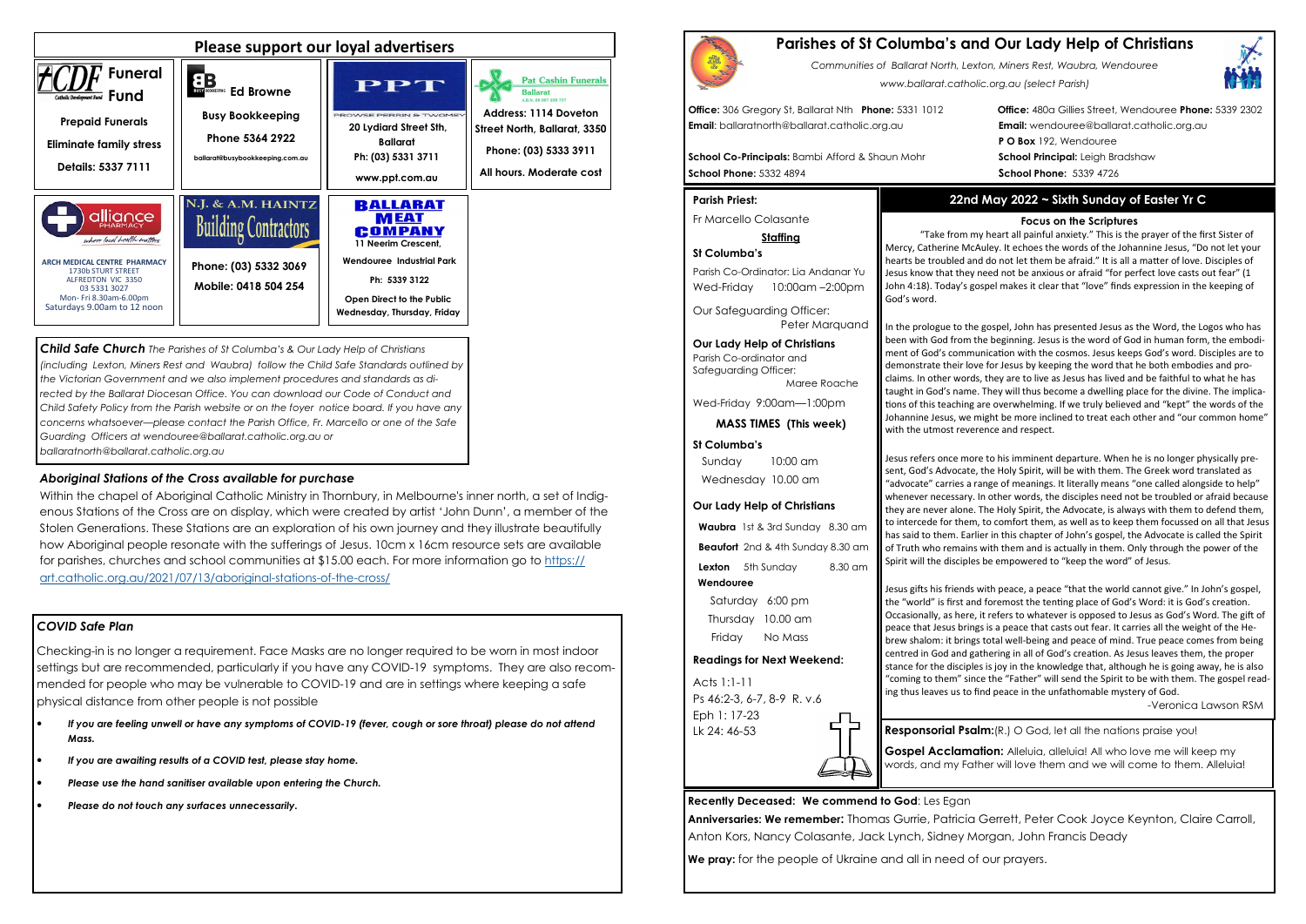### *COVID Safe Plan*

Checking-in is no longer a requirement. Face Masks are no longer required to be worn in most indoor settings but are recommended, particularly if you have any COVID-19 symptoms. They are also recommended for people who may be vulnerable to COVID-19 and are in settings where keeping a safe physical distance from other people is not possible

- *If you are feeling unwell or have any symptoms of COVID-19 (fever, cough or sore throat) please do not attend Mass.*
- *If you are awaiting results of a COVID test, please stay home.*
- *Please use the hand sanitiser available upon entering the Church.*
- *Please do not touch any surfaces unnecessarily.*





*Child Safe Church The Parishes of St Columba's & Our Lady Help of Christians (including Lexton, Miners Rest and Waubra) follow the Child Safe Standards outlined by the Victorian Government and we also implement procedures and standards as di*rected by the Ballarat Diocesan Office. You can download our Code of Conduct and *Child Safety Policy from the Parish website or on the foyer notice board. If you have any concerns whatsoever—please contact the Parish Office, Fr. Marcello or one of the Safe Guarding Officers at wendouree@ballarat.catholic.org.au or ballaratnorth@ballarat.catholic.org.au* 

Parish Co-Ordinator: Lia Andanar Yu Wed-Friday 10:00am -2:00pm

**Beaufort** 2nd & 4th Sunday 8.30 am **Lexton** 5th Sunday 8.30 am

### *Aboriginal Stations of the Cross available for purchase*

 Within the chapel of Aboriginal Catholic Ministry in Thornbury, in Melbourne's inner north, a set of Indigenous Stations of the Cross are on display, which were created by artist 'John Dunn', a member of the Stolen Generations. These Stations are an exploration of his own journey and they illustrate beautifully how Aboriginal people resonate with the sufferings of Jesus. 10cm x 16cm resource sets are available for parishes, churches and school communities at \$15.00 each. For more information go to https://art.catholic.org.au/2021/07/13/aboriginal-stations-of-the-cross/

# **Parishes of St Columba's and Our Lady Help of Christians**

*Communities of Ballarat North, Lexton, Miners Rest, Waubra, Wendouree www.ballarat.catholic.org.au (select Parish)* 

**Office:** 306 Gregory St, Ballarat Nth **Phone:** 5331 1012 **Office:** 480a Gillies Street, Wendouree **Phone:** 5339 2302**P O Box** 192, Wendouree

**Email**: ballaratnorth@ballarat.catholic.org.au **Email:** wendouree@ballarat.catholic.org.au

**School Co-Principals:** Bambi Afford & Shaun Mohr **School Principal:** Leigh Bradshaw **School Phone:** 5332 4894 **School Phone:** 5339 4726

#### **Parish Priest:**

Fr Marcello Colasante

#### **Staffing**

#### **St Columba's**

Our Safeguarding Officer: Peter Marquand

**Our Lady Help of Christians**Parish Co-ordinator and Safeguarding Officer:

Maree Roache

Wed-Friday 9:00am—1:00pm

**MASS TIMES (This week)**

#### **St Columba's**

Jesus gifts his friends with peace, a peace "that the world cannot give." In John's gospel, the "world" is first and foremost the tenting place of God's Word: it is God's creation. Occasionally, as here, it refers to whatever is opposed to Jesus as God's Word. The gift of peace that Jesus brings is a peace that casts out fear. It carries all the weight of the Hebrew shalom: it brings total well-being and peace of mind. True peace comes from being centred in God and gathering in all of God's creation. As Jesus leaves them, the proper stance for the disciples is joy in the knowledge that, although he is going away, he is also "coming to them" since the "Father" will send the Spirit to be with them. The gospel reading thus leaves us to find peace in the unfathomable mystery of God.

 Sunday 10:00 am Wednesday 10.00 am

#### **Our Lady Help of Christians**

**Waubra** 1st & 3rd Sunday 8.30 am

**Gospel Acclamation:** Alleluia, alleluia! All who love me will keep my words, and my Father will love them and we will come to them. Alleluia!

 **Wendouree**

Saturday 6:00 pm Thursday 10.00 am Friday No Mass

#### **Readings for Next Weekend:**

Acts 1:1-11 Ps 46:2-3, 6-7, 8-9 R. v.6 Eph 1: 17-23 Lk 24: 46-53

**Recently Deceased: We commend to God**: Les Egan**Anniversaries: We remember:** Thomas Gurrie, Patricia Gerrett, Peter Cook Joyce Keynton, Claire Carroll, Anton Kors, Nancy Colasante, Jack Lynch, Sidney Morgan, John Francis Deady**We pray:** for the people of Ukraine and all in need of our prayers.



## **22nd May 2022 ~ Sixth Sunday of Easter Yr C**

#### **Focus on the Scriptures**

 "Take from my heart all painful anxiety." This is the prayer of the first Sister of Mercy, Catherine McAuley. It echoes the words of the Johannine Jesus, "Do not let your hearts be troubled and do not let them be afraid." It is all a matter of love. Disciples of Jesus know that they need not be anxious or afraid "for perfect love casts out fear" (1 John 4:18). Today's gospel makes it clear that "love" finds expression in the keeping of

God's word.

In the prologue to the gospel, John has presented Jesus as the Word, the Logos who has been with God from the beginning. Jesus is the word of God in human form, the embodiment of God's communication with the cosmos. Jesus keeps God's word. Disciples are to demonstrate their love for Jesus by keeping the word that he both embodies and proclaims. In other words, they are to live as Jesus has lived and be faithful to what he has taught in God's name. They will thus become a dwelling place for the divine. The implications of this teaching are overwhelming. If we truly believed and "kept" the words of the Johannine Jesus, we might be more inclined to treat each other and "our common home" with the utmost reverence and respect.

Jesus refers once more to his imminent departure. When he is no longer physically present, God's Advocate, the Holy Spirit, will be with them. The Greek word translated as "advocate" carries a range of meanings. It literally means "one called alongside to help" whenever necessary. In other words, the disciples need not be troubled or afraid because they are never alone. The Holy Spirit, the Advocate, is always with them to defend them, to intercede for them, to comfort them, as well as to keep them focussed on all that Jesus has said to them. Earlier in this chapter of John's gospel, the Advocate is called the Spirit of Truth who remains with them and is actually in them. Only through the power of the Spirit will the disciples be empowered to "keep the word" of Jesus.

-Veronica Lawson RSM

**Responsorial Psalm:**(R.) O God, let all the nations praise you!